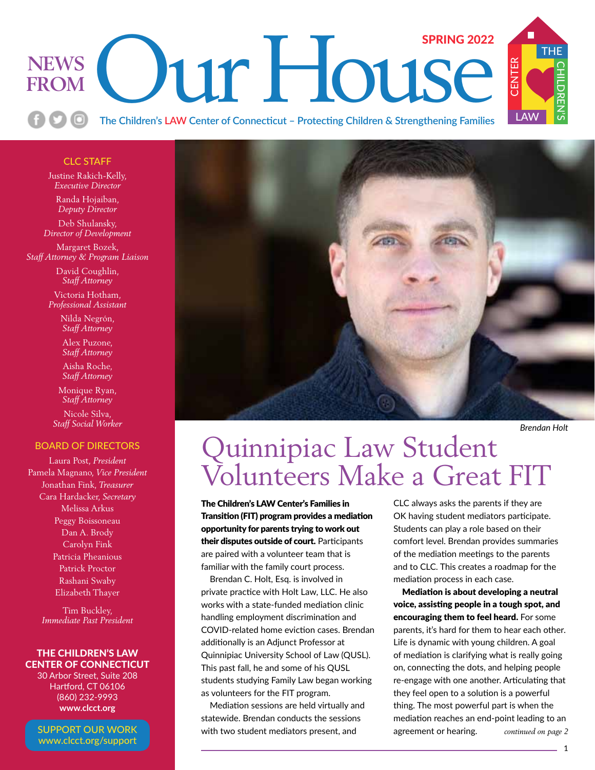



#### CLC STAFF

Justine Rakich-Kelly, *Executive Director*

Randa Hojaiban, *Deputy Director*

Deb Shulansky, *Director of Development*

Margaret Bozek, *Staff Attorney & Program Liaison*

> David Coughlin, *Staff Attorney*

Victoria Hotham, *Professional Assistant*

> Nilda Negrón, *Staff Attorney*

Alex Puzone, *Staff Attorney*

Aisha Roche, *Staff Attorney*

Monique Ryan, *Staff Attorney*

Nicole Silva, *Staff Social Worker*

#### BOARD OF DIRECTORS

Laura Post, *President* Pamela Magnano, *Vice President* Jonathan Fink, *Treasurer* Cara Hardacker, *Secretary* Melissa Arkus Peggy Boissoneau Dan A. Brody Carolyn Fink Patricia Pheanious Patrick Proctor Rashani Swaby Elizabeth Thayer

> Tim Buckley, *Immediate Past President*

#### THE CHILDREN'S LAW CENTER OF CONNECTICUT

30 Arbor Street, Suite 208 Hartford, CT 06106 (860) 232-9993 **www.clcct.org**

SUPPORT OUR WORK www.clcct.org/support



*Brendan Holt*

# Quinnipiac Law Student Volunteers Make a Great FIT

The Children's LAW Center's Families in Transition (FIT) program provides a mediation opportunity for parents trying to work out their disputes outside of court. Participants are paired with a volunteer team that is familiar with the family court process.

Brendan C. Holt, Esq. is involved in private practice with Holt Law, LLC. He also works with a state-funded mediation clinic handling employment discrimination and COVID-related home eviction cases. Brendan additionally is an Adjunct Professor at Quinnipiac University School of Law (QUSL). This past fall, he and some of his QUSL students studying Family Law began working as volunteers for the FIT program.

Mediation sessions are held virtually and statewide. Brendan conducts the sessions with two student mediators present, and

CLC always asks the parents if they are OK having student mediators participate. Students can play a role based on their comfort level. Brendan provides summaries of the mediation meetings to the parents and to CLC. This creates a roadmap for the mediation process in each case.

Mediation is about developing a neutral voice, assisting people in a tough spot, and encouraging them to feel heard. For some parents, it's hard for them to hear each other. Life is dynamic with young children. A goal of mediation is clarifying what is really going on, connecting the dots, and helping people re-engage with one another. Articulating that they feel open to a solution is a powerful thing. The most powerful part is when the mediation reaches an end-point leading to an agreement or hearing. *continued on page 2*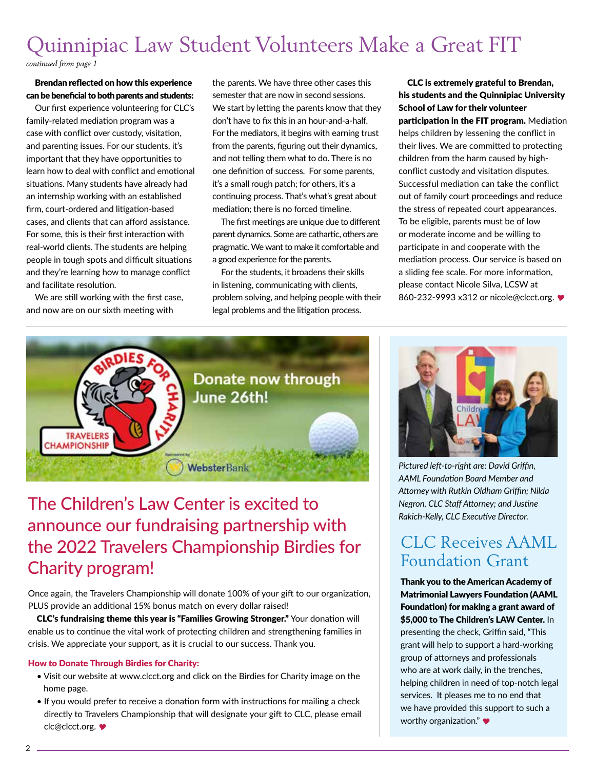# Quinnipiac Law Student Volunteers Make a Great FIT

*continued from page 1*

#### Brendan reflected on how this experience can be beneficial to both parents and students:

Our first experience volunteering for CLC's family-related mediation program was a case with conflict over custody, visitation, and parenting issues. For our students, it's important that they have opportunities to learn how to deal with conflict and emotional situations. Many students have already had an internship working with an established firm, court-ordered and litigation-based cases, and clients that can afford assistance. For some, this is their first interaction with real-world clients. The students are helping people in tough spots and difficult situations and they're learning how to manage conflict and facilitate resolution.

We are still working with the first case, and now are on our sixth meeting with

the parents. We have three other cases this semester that are now in second sessions. We start by letting the parents know that they don't have to fix this in an hour-and-a-half. For the mediators, it begins with earning trust from the parents, figuring out their dynamics, and not telling them what to do. There is no one definition of success. For some parents, it's a small rough patch; for others, it's a continuing process. That's what's great about mediation; there is no forced timeline.

The first meetings are unique due to different parent dynamics. Some are cathartic, others are pragmatic. We want to make it comfortable and a good experience for the parents.

For the students, it broadens their skills in listening, communicating with clients, problem solving, and helping people with their legal problems and the litigation process.

CLC is extremely grateful to Brendan, his students and the Quinnipiac University School of Law for their volunteer participation in the FIT program. Mediation helps children by lessening the conflict in their lives. We are committed to protecting children from the harm caused by highconflict custody and visitation disputes. Successful mediation can take the conflict out of family court proceedings and reduce the stress of repeated court appearances. To be eligible, parents must be of low or moderate income and be willing to participate in and cooperate with the mediation process. Our service is based on a sliding fee scale. For more information, please contact Nicole Silva, LCSW at 860-232-9993 x312 or nicole@clcct.org.



### The Children's Law Center is excited to announce our fundraising partnership with the 2022 Travelers Championship Birdies for Charity program!

Once again, the Travelers Championship will donate 100% of your gift to our organization, PLUS provide an additional 15% bonus match on every dollar raised!

CLC's fundraising theme this year is "Families Growing Stronger." Your donation will enable us to continue the vital work of protecting children and strengthening families in crisis. We appreciate your support, as it is crucial to our success. Thank you.

#### How to Donate Through Birdies for Charity:

- Visit our website at www.clcct.org and click on the Birdies for Charity image on the home page.
- If you would prefer to receive a donation form with instructions for mailing a check directly to Travelers Championship that will designate your gift to CLC, please email clc@clcct.org.



*Pictured left-to-right are: David Griffin, AAML Foundation Board Member and Attorney with Rutkin Oldham Griffin; Nilda Negron, CLC Staff Attorney; and Justine Rakich-Kelly, CLC Executive Director.*

### CLC Receives AAML Foundation Grant

Thank you to the American Academy of Matrimonial Lawyers Foundation (AAML Foundation) for making a grant award of \$5,000 to The Children's LAW Center. In presenting the check, Griffin said, "This grant will help to support a hard-working group of attorneys and professionals who are at work daily, in the trenches, helping children in need of top-notch legal services. It pleases me to no end that we have provided this support to such a worthy organization." $\bullet$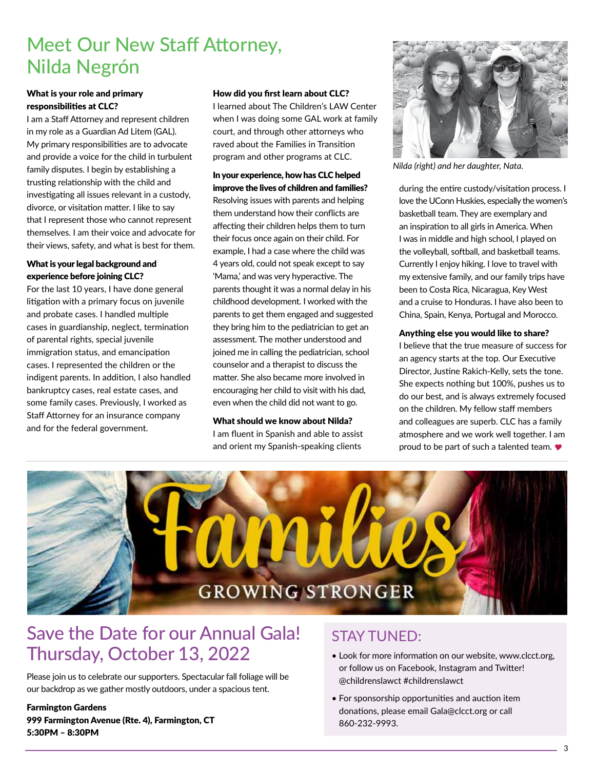## Meet Our New Staff Attorney, Nilda Negrón

#### What is your role and primary responsibilities at CLC?

I am a Staff Attorney and represent children in my role as a Guardian Ad Litem (GAL). My primary responsibilities are to advocate and provide a voice for the child in turbulent family disputes. I begin by establishing a trusting relationship with the child and investigating all issues relevant in a custody, divorce, or visitation matter. I like to say that I represent those who cannot represent themselves. I am their voice and advocate for their views, safety, and what is best for them.

#### What is your legal background and experience before joining CLC?

For the last 10 years, I have done general litigation with a primary focus on juvenile and probate cases. I handled multiple cases in guardianship, neglect, termination of parental rights, special juvenile immigration status, and emancipation cases. I represented the children or the indigent parents. In addition, I also handled bankruptcy cases, real estate cases, and some family cases. Previously, I worked as Staff Attorney for an insurance company and for the federal government.

#### How did you first learn about CLC?

I learned about The Children's LAW Center when I was doing some GAL work at family court, and through other attorneys who raved about the Families in Transition program and other programs at CLC.

In your experience, how has CLC helped improve the lives of children and families? Resolving issues with parents and helping them understand how their conflicts are affecting their children helps them to turn their focus once again on their child. For example, I had a case where the child was 4 years old, could not speak except to say 'Mama,' and was very hyperactive. The parents thought it was a normal delay in his childhood development. I worked with the parents to get them engaged and suggested they bring him to the pediatrician to get an assessment. The mother understood and joined me in calling the pediatrician, school counselor and a therapist to discuss the matter. She also became more involved in encouraging her child to visit with his dad, even when the child did not want to go.

#### What should we know about Nilda?

I am fluent in Spanish and able to assist and orient my Spanish-speaking clients



*Nilda (right) and her daughter, Nata.*

during the entire custody/visitation process. I love the UConn Huskies, especially the women's basketball team. They are exemplary and an inspiration to all girls in America. When I was in middle and high school, I played on the volleyball, softball, and basketball teams. Currently I enjoy hiking. I love to travel with my extensive family, and our family trips have been to Costa Rica, Nicaragua, Key West and a cruise to Honduras. I have also been to China, Spain, Kenya, Portugal and Morocco.

#### Anything else you would like to share?

I believe that the true measure of success for an agency starts at the top. Our Executive Director, Justine Rakich-Kelly, sets the tone. She expects nothing but 100%, pushes us to do our best, and is always extremely focused on the children. My fellow staff members and colleagues are superb. CLC has a family atmosphere and we work well together. I am proud to be part of such a talented team.  $\bullet$ 



### Save the Date for our Annual Gala! Thursday, October 13, 2022

Please join us to celebrate our supporters. Spectacular fall foliage will be our backdrop as we gather mostly outdoors, under a spacious tent.

#### Farmington Gardens

999 Farmington Avenue (Rte. 4), Farmington, CT 5:30PM – 8:30PM

#### STAY TUNED:

- Look for more information on our website, www.clcct.org, or follow us on Facebook, Instagram and Twitter! @childrenslawct #childrenslawct
- For sponsorship opportunities and auction item donations, please email Gala@clcct.org or call 860-232-9993.